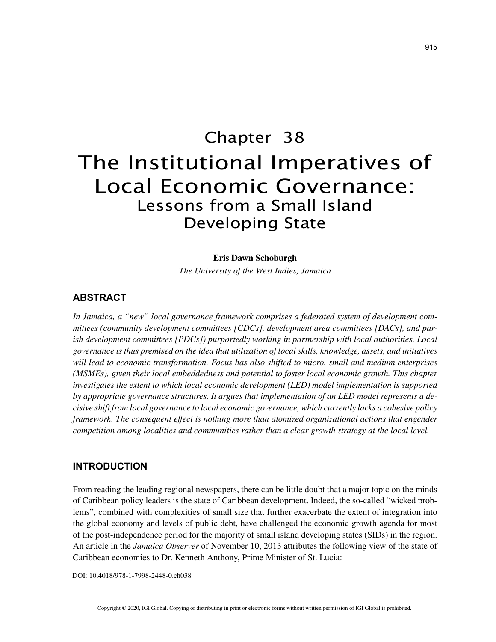# Chapter 38 The Institutional Imperatives of Local Economic Governance: Lessons from a Small Island Developing State

#### **Eris Dawn Schoburgh**

*The University of the West Indies, Jamaica*

### **ABSTRACT**

*In Jamaica, a "new" local governance framework comprises a federated system of development committees (community development committees [CDCs], development area committees [DACs], and parish development committees [PDCs]) purportedly working in partnership with local authorities. Local governance is thus premised on the idea that utilization of local skills, knowledge, assets, and initiatives will lead to economic transformation. Focus has also shifted to micro, small and medium enterprises (MSMEs), given their local embeddedness and potential to foster local economic growth. This chapter investigates the extent to which local economic development (LED) model implementation is supported by appropriate governance structures. It argues that implementation of an LED model represents a decisive shift from local governance to local economic governance, which currently lacks a cohesive policy framework. The consequent effect is nothing more than atomized organizational actions that engender competition among localities and communities rather than a clear growth strategy at the local level.*

#### **INTRODUCTION**

From reading the leading regional newspapers, there can be little doubt that a major topic on the minds of Caribbean policy leaders is the state of Caribbean development. Indeed, the so-called "wicked problems", combined with complexities of small size that further exacerbate the extent of integration into the global economy and levels of public debt, have challenged the economic growth agenda for most of the post-independence period for the majority of small island developing states (SIDs) in the region. An article in the *Jamaica Observer* of November 10, 2013 attributes the following view of the state of Caribbean economies to Dr. Kenneth Anthony, Prime Minister of St. Lucia:

DOI: 10.4018/978-1-7998-2448-0.ch038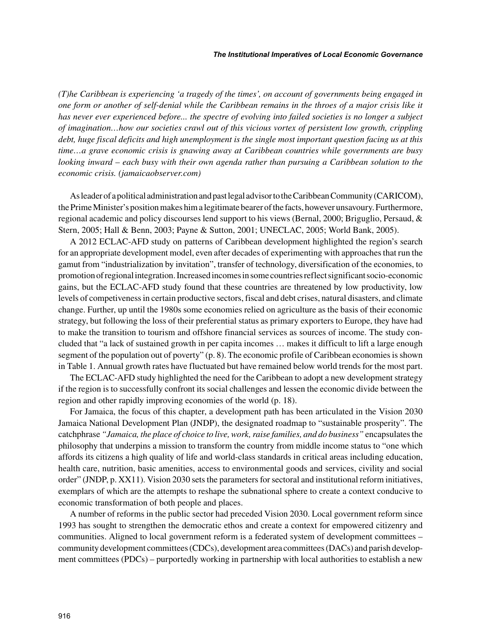#### *The Institutional Imperatives of Local Economic Governance*

*(T)he Caribbean is experiencing 'a tragedy of the times', on account of governments being engaged in one form or another of self-denial while the Caribbean remains in the throes of a major crisis like it has never ever experienced before... the spectre of evolving into failed societies is no longer a subject of imagination…how our societies crawl out of this vicious vortex of persistent low growth, crippling debt, huge fiscal deficits and high unemployment is the single most important question facing us at this time…a grave economic crisis is gnawing away at Caribbean countries while governments are busy looking inward – each busy with their own agenda rather than pursuing a Caribbean solution to the economic crisis. (jamaicaobserver.com)*

As leader of a political administration and past legal advisor to the Caribbean Community (CARICOM), the Prime Minister's position makes him a legitimate bearer of the facts, however unsavoury. Furthermore, regional academic and policy discourses lend support to his views (Bernal, 2000; Briguglio, Persaud, & Stern, 2005; Hall & Benn, 2003; Payne & Sutton, 2001; UNECLAC, 2005; World Bank, 2005).

A 2012 ECLAC-AFD study on patterns of Caribbean development highlighted the region's search for an appropriate development model, even after decades of experimenting with approaches that run the gamut from "industrialization by invitation", transfer of technology, diversification of the economies, to promotion of regional integration. Increased incomes in some countries reflect significant socio-economic gains, but the ECLAC-AFD study found that these countries are threatened by low productivity, low levels of competiveness in certain productive sectors, fiscal and debt crises, natural disasters, and climate change. Further, up until the 1980s some economies relied on agriculture as the basis of their economic strategy, but following the loss of their preferential status as primary exporters to Europe, they have had to make the transition to tourism and offshore financial services as sources of income. The study concluded that "a lack of sustained growth in per capita incomes … makes it difficult to lift a large enough segment of the population out of poverty" (p. 8). The economic profile of Caribbean economies is shown in Table 1. Annual growth rates have fluctuated but have remained below world trends for the most part.

The ECLAC-AFD study highlighted the need for the Caribbean to adopt a new development strategy if the region is to successfully confront its social challenges and lessen the economic divide between the region and other rapidly improving economies of the world (p. 18).

For Jamaica, the focus of this chapter, a development path has been articulated in the Vision 2030 Jamaica National Development Plan (JNDP), the designated roadmap to "sustainable prosperity". The catchphrase *"Jamaica, the place of choice to live, work, raise families, and do business"* encapsulates the philosophy that underpins a mission to transform the country from middle income status to "one which affords its citizens a high quality of life and world-class standards in critical areas including education, health care, nutrition, basic amenities, access to environmental goods and services, civility and social order" (JNDP, p. XX11). Vision 2030 sets the parameters for sectoral and institutional reform initiatives, exemplars of which are the attempts to reshape the subnational sphere to create a context conducive to economic transformation of both people and places.

A number of reforms in the public sector had preceded Vision 2030. Local government reform since 1993 has sought to strengthen the democratic ethos and create a context for empowered citizenry and communities. Aligned to local government reform is a federated system of development committees – community development committees (CDCs), development area committees (DACs) and parish development committees (PDCs) – purportedly working in partnership with local authorities to establish a new